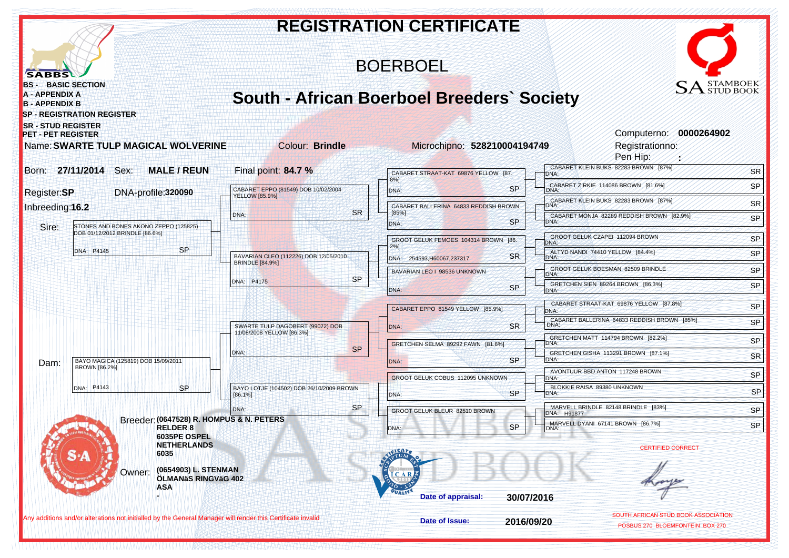